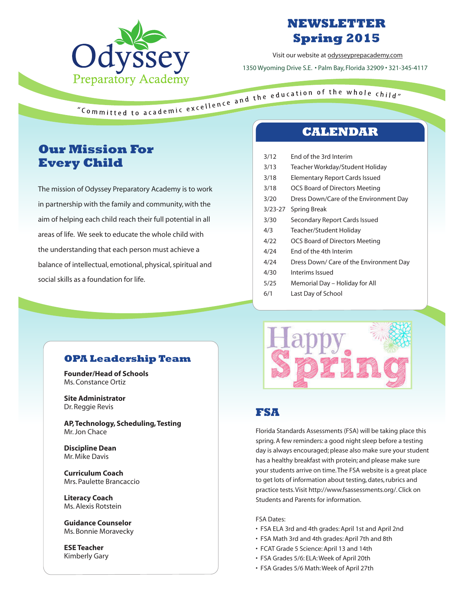

# **NEWSLETTER Spring 2015**

Visit our website at odysseyprepacademy.com 1350 Wyoming Drive S.E. • Palm Bay, Florida 32909 • 321-345-4117

# **Our Mission For Every Child**

The mission of Odyssey Preparatory Academy is to work in partnership with the family and community, with the aim of helping each child reach their full potential in all areas of life. We seek to educate the whole child with the understanding that each person must achieve a balance of intellectual, emotional, physical, spiritual and social skills as a foundation for life.

# **CALENDAR**

3/12 End of the 3rd Interim 3/13 Teacher Workday/Student Holiday 3/18 Elementary Report Cards Issued 3/18 OCS Board of Directors Meeting 3/20 Dress Down/Care of the Environment Day 3/23-27 Spring Break 3/30 Secondary Report Cards Issued 4/3 Teacher/Student Holiday 4/22 OCS Board of Directors Meeting 4/24 End of the 4th Interim 4/24 Dress Down/ Care of the Environment Day 4/30 Interims Issued 5/25 Memorial Day – Holiday for All 6/1 Last Day of School

#### **OPA Leadership Team**

**Founder/Head of Schools** Ms. Constance Ortiz

**Site Administrator** Dr. Reggie Revis

**AP, Technology, Scheduling, Testing**  Mr. Jon Chace

**Discipline Dean** Mr. Mike Davis

**Curriculum Coach** Mrs. Paulette Brancaccio

**Literacy Coach** Ms. Alexis Rotstein

**Guidance Counselor** Ms. Bonnie Moravecky

**ESE Teacher** Kimberly Gary



# **FSA**

Florida Standards Assessments (FSA) will be taking place this spring. A few reminders: a good night sleep before a testing day is always encouraged; please also make sure your student has a healthy breakfast with protein; and please make sure your students arrive on time. The FSA website is a great place to get lots of information about testing, dates, rubrics and practice tests. Visit http://www.fsassessments.org/. Click on Students and Parents for information.

#### FSA Dates:

- FSA ELA 3rd and 4th grades: April 1st and April 2nd
- FSA Math 3rd and 4th grades: April 7th and 8th
- FCAT Grade 5 Science: April 13 and 14th
- FSA Grades 5/6: ELA: Week of April 20th
- FSA Grades 5/6 Math: Week of April 27th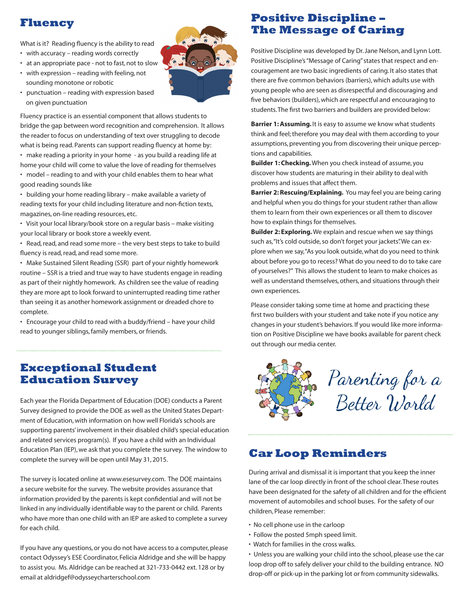## **Fluency**

What is it? Reading fluency is the ability to read

- with accuracy reading words correctly
- at an appropriate pace not to fast, not to slow
- with expression reading with feeling, not sounding monotone or robotic
- punctuation reading with expression based on given punctuation

Fluency practice is an essential component that allows students to bridge the gap between word recognition and comprehension. It allows the reader to focus on understanding of text over struggling to decode what is being read. Parents can support reading fluency at home by:

• make reading a priority in your home - as you build a reading life at home your child will come to value the love of reading for themselves • model – reading to and with your child enables them to hear what

good reading sounds like

• building your home reading library – make available a variety of reading texts for your child including literature and non-fiction texts, magazines, on-line reading resources, etc.

• Visit your local library/book store on a regular basis – make visiting your local library or book store a weekly event.

• Read, read, and read some more – the very best steps to take to build fluency is read, read, and read some more.

• Make Sustained Silent Reading (SSR) part of your nightly homework routine – SSR is a tried and true way to have students engage in reading as part of their nightly homework. As children see the value of reading they are more apt to look forward to uninterrupted reading time rather than seeing it as another homework assignment or dreaded chore to complete.

• Encourage your child to read with a buddy/friend – have your child read to younger siblings, family members, or friends.

## **Exceptional Student Education Survey**

Each year the Florida Department of Education (DOE) conducts a Parent Survey designed to provide the DOE as well as the United States Department of Education, with information on how well Florida's schools are supporting parents' involvement in their disabled child's special education and related services program(s). If you have a child with an Individual Education Plan (IEP), we ask that you complete the survey. The window to complete the survey will be open until May 31, 2015.

The survey is located online at www.esesurvey.com. The DOE maintains a secure website for the survey. The website provides assurance that information provided by the parents is kept confidential and will not be linked in any individually identifiable way to the parent or child. Parents who have more than one child with an IEP are asked to complete a survey for each child.

If you have any questions, or you do not have access to a computer, please contact Odyssey's ESE Coordinator, Felicia Aldridge and she will be happy to assist you. Ms. Aldridge can be reached at 321-733-0442 ext. 128 or by email at aldridgef@odysseycharterschool.com



Positive Discipline was developed by Dr. Jane Nelson, and Lynn Lott. Positive Discipline's "Message of Caring" states that respect and encouragement are two basic ingredients of caring. It also states that there are five common behaviors (barriers), which adults use with young people who are seen as disrespectful and discouraging and five behaviors (builders), which are respectful and encouraging to students. The first two barriers and builders are provided below:

**Barrier 1: Assuming.** It is easy to assume we know what students think and feel; therefore you may deal with them according to your assumptions, preventing you from discovering their unique perceptions and capabilities.

**Builder 1: Checking.** When you check instead of assume, you discover how students are maturing in their ability to deal with problems and issues that affect them.

**Barrier 2: Rescuing/Explaining.** You may feel you are being caring and helpful when you do things for your student rather than allow them to learn from their own experiences or all them to discover how to explain things for themselves.

**Builder 2: Exploring.** We explain and rescue when we say things such as, "It's cold outside, so don't forget your jackets". We can explore when we say, "As you look outside, what do you need to think about before you go to recess? What do you need to do to take care of yourselves?" This allows the student to learn to make choices as well as understand themselves, others, and situations through their own experiences.

Please consider taking some time at home and practicing these first two builders with your student and take note if you notice any changes in your student's behaviors. If you would like more information on Positive Discipline we have books available for parent check out through our media center.



## **Car Loop Reminders**

During arrival and dismissal it is important that you keep the inner lane of the car loop directly in front of the school clear. These routes have been designated for the safety of all children and for the efficient movement of automobiles and school buses. For the safety of our children, Please remember:

- No cell phone use in the carloop
- Follow the posted 5mph speed limit.
- Watch for families in the cross walks.

• Unless you are walking your child into the school, please use the car loop drop off to safely deliver your child to the building entrance. NO drop-off or pick-up in the parking lot or from community sidewalks.

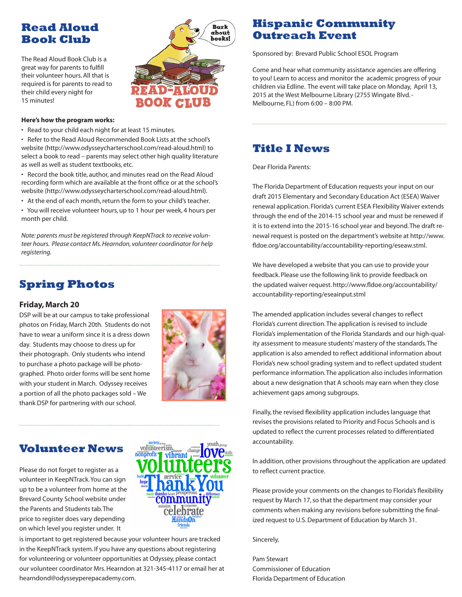# **Read Aloud Book Club**

The Read Aloud Book Club is a great way for parents to fulfill their volunteer hours. All that is required is for parents to read to their child every night for 15 minutes!



#### **Here's how the program works:**

• Read to your child each night for at least 15 minutes.

• Refer to the Read Aloud Recommended Book Lists at the school's website (http://www.odysseycharterschool.com/read-aloud.html) to select a book to read – parents may select other high quality literature as well as well as student textbooks, etc.

• Record the book title, author, and minutes read on the Read Aloud recording form which are available at the front office or at the school's website (http://www.odysseycharterschool.com/read-aloud.html).

• At the end of each month, return the form to your child's teacher.

• You will receive volunteer hours, up to 1 hour per week, 4 hours per month per child.

*Note: parents must be registered through KeepNTrack to receive volunteer hours. Please contact Ms. Hearndon, volunteer coordinator for help registering.*

# **Spring Photos**

#### **Friday, March 20**

DSP will be at our campus to take professional photos on Friday, March 20th. Students do not have to wear a uniform since it is a dress down day. Students may choose to dress up for their photograph. Only students who intend to purchase a photo package will be photographed. Photo order forms will be sent home with your student in March. Odyssey receives a portion of all the photo packages sold – We thank DSP for partnering with our school.



## **Volunteer News**

Please do not forget to register as a volunteer in KeepNTrack. You can sign up to be a volunteer from home at the Brevard County School website under the Parents and Students tab. The price to register does vary depending on which level you register under. It



is important to get registered because your volunteer hours are tracked in the KeepNTrack system. If you have any questions about registering for volunteering or volunteer opportunities at Odyssey, please contact our volunteer coordinator Mrs. Hearndon at 321-345-4117 or email her at hearndond@odysseyperepacademy.com.

# **Hispanic Community Outreach Event**

Sponsored by: Brevard Public School ESOL Program

Come and hear what community assistance agencies are offering to you! Learn to access and monitor the academic progress of your children via Edline. The event will take place on Monday, April 13, 2015 at the West Melbourne Library (2755 Wingate Blvd. - Melbourne, FL) from 6:00 – 8:00 PM.

## **Title I News**

Dear Florida Parents:

The Florida Department of Education requests your input on our draft 2015 Elementary and Secondary Education Act (ESEA) Waiver renewal application. Florida's current ESEA Flexibility Waiver extends through the end of the 2014-15 school year and must be renewed if it is to extend into the 2015-16 school year and beyond.The draft renewal request is posted on the department's website at http://www. fldoe.org/accountability/accountability-reporting/eseaw.stml.

We have developed a website that you can use to provide your feedback. Please use the following link to provide feedback on the updated waiver request. http://www.fldoe.org/accountability/ accountability-reporting/eseainput.stml

The amended application includes several changes to reflect Florida's current direction. The application is revised to include Florida's implementation of the Florida Standards and our high-quality assessment to measure students' mastery of the standards. The application is also amended to reflect additional information about Florida's new school grading system and to reflect updated student performance information. The application also includes information about a new designation that A schools may earn when they close achievement gaps among subgroups.

Finally, the revised flexibility application includes language that revises the provisions related to Priority and Focus Schools and is updated to reflect the current processes related to differentiated accountability.

In addition, other provisions throughout the application are updated to reflect current practice.

Please provide your comments on the changes to Florida's flexibility request by March 17, so that the department may consider your comments when making any revisions before submitting the finalized request to U.S. Department of Education by March 31.

#### Sincerely,

Pam Stewart Commissioner of Education Florida Department of Education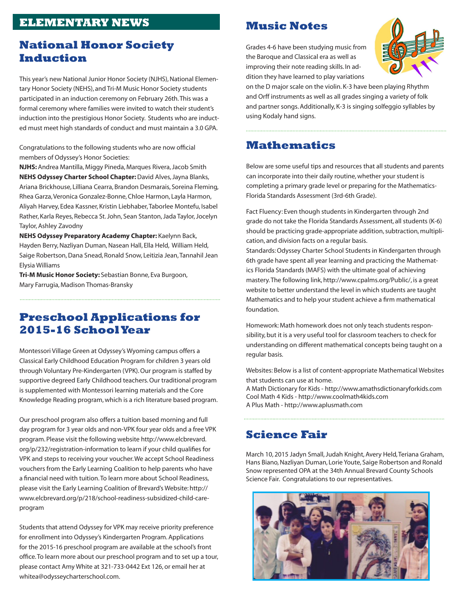# **ELEMENTARY NEWS**

## **National Honor Society Induction**

This year's new National Junior Honor Society (NJHS), National Elementary Honor Society (NEHS), and Tri-M Music Honor Society students participated in an induction ceremony on February 26th. This was a formal ceremony where families were invited to watch their student's induction into the prestigious Honor Society. Students who are inducted must meet high standards of conduct and must maintain a 3.0 GPA.

Congratulations to the following students who are now official members of Odyssey's Honor Societies:

**NJHS:** Andrea Mantilla, Miggy Pineda, Marques Rivera, Jacob Smith **NEHS Odyssey Charter School Chapter:** David Alves, Jayna Blanks, Ariana Brickhouse, Lilliana Cearra, Brandon Desmarais, Soreina Fleming, Rhea Garza, Veronica Gonzalez-Bonne, Chloe Harmon, Layla Harmon, Aliyah Harvey, Edea Kassner, Kristin Liebhaber, Taborlee Montefu, Isabel Rather, Karla Reyes, Rebecca St. John, Sean Stanton, Jada Taylor, Jocelyn Taylor, Ashley Zavodny

**NEHS Odyssey Preparatory Academy Chapter:** Kaelynn Back, Hayden Berry, Nazliyan Duman, Nasean Hall, Ella Held, William Held, Saige Robertson, Dana Snead, Ronald Snow, Leitizia Jean, Tannahil Jean Elysia Williams

**Tri-M Music Honor Society:** Sebastian Bonne, Eva Burgoon, Mary Farrugia, Madison Thomas-Bransky

## **Preschool Applications for 2015-16 School Year**

Montessori Village Green at Odyssey's Wyoming campus offers a Classical Early Childhood Education Program for children 3 years old through Voluntary Pre-Kindergarten (VPK). Our program is staffed by supportive degreed Early Childhood teachers. Our traditional program is supplemented with Montessori learning materials and the Core Knowledge Reading program, which is a rich literature based program.

Our preschool program also offers a tuition based morning and full day program for 3 year olds and non-VPK four year olds and a free VPK program. Please visit the following website http://www.elcbrevard. org/p/232/registration-information to learn if your child qualifies for VPK and steps to receiving your voucher. We accept School Readiness vouchers from the Early Learning Coalition to help parents who have a financial need with tuition. To learn more about School Readiness, please visit the Early Learning Coalition of Brevard's Website: http:// www.elcbrevard.org/p/218/school-readiness-subsidized-child-careprogram

Students that attend Odyssey for VPK may receive priority preference for enrollment into Odyssey's Kindergarten Program. Applications for the 2015-16 preschool program are available at the school's front office. To learn more about our preschool program and to set up a tour, please contact Amy White at 321-733-0442 Ext 126, or email her at whitea@odysseycharterschool.com.

#### **Music Notes**

Grades 4-6 have been studying music from the Baroque and Classical era as well as improving their note reading skills. In addition they have learned to play variations



on the D major scale on the violin. K-3 have been playing Rhythm and Orff instruments as well as all grades singing a variety of folk and partner songs. Additionally, K-3 is singing solfeggio syllables by using Kodaly hand signs.

#### **Mathematics**

Below are some useful tips and resources that all students and parents can incorporate into their daily routine, whether your student is completing a primary grade level or preparing for the Mathematics-Florida Standards Assessment (3rd-6th Grade).

Fact Fluency: Even though students in Kindergarten through 2nd grade do not take the Florida Standards Assessment, all students (K-6) should be practicing grade-appropriate addition, subtraction, multiplication, and division facts on a regular basis.

Standards: Odyssey Charter School Students in Kindergarten through 6th grade have spent all year learning and practicing the Mathematics Florida Standards (MAFS) with the ultimate goal of achieving mastery. The following link, http://www.cpalms.org/Public/, is a great website to better understand the level in which students are taught Mathematics and to help your student achieve a firm mathematical foundation.

Homework: Math homework does not only teach students responsibility, but it is a very useful tool for classroom teachers to check for understanding on different mathematical concepts being taught on a regular basis.

Websites: Below is a list of content-appropriate Mathematical Websites that students can use at home.

A Math Dictionary for Kids - http://www.amathsdictionaryforkids.com Cool Math 4 Kids - http://www.coolmath4kids.com A Plus Math - http://www.aplusmath.com

# **Science Fair**

March 10, 2015 Jadyn Small, Judah Knight, Avery Held, Teriana Graham, Hans Biano, Nazliyan Duman, Lorie Youte, Saige Robertson and Ronald Snow represented OPA at the 34th Annual Brevard County Schools Science Fair. Congratulations to our representatives.